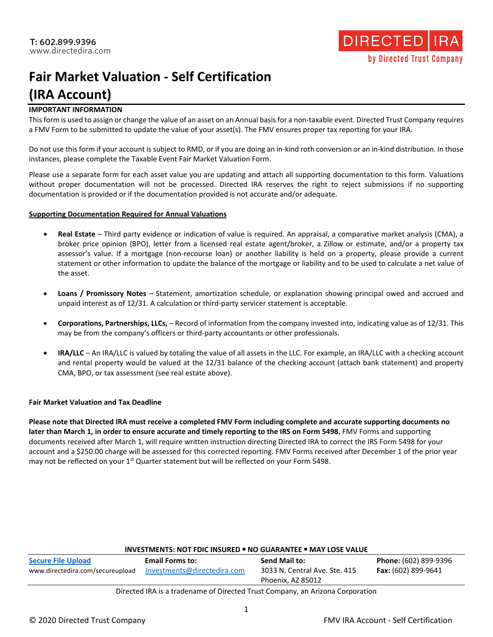

# **Fair Market Valuation - Self Certification (IRA Account)**

### **IMPORTANT INFORMATION**

This form is used to assign or change the value of an asset on an Annual basis for a non-taxable event. Directed Trust Company requires a FMV Form to be submitted to update the value of your asset(s). The FMV ensures proper tax reporting for your IRA.

Do not use this form if your account is subject to RMD, or if you are doing an in-kind roth conversion or an in-kind distribution. In those instances, please complete the Taxable Event Fair Market Valuation Form.

Please use a separate form for each asset value you are updating and attach all supporting documentation to this form. Valuations without proper documentation will not be processed. Directed IRA reserves the right to reject submissions if no supporting documentation is provided or if the documentation provided is not accurate and/or adequate.

#### **Supporting Documentation Required for Annual Valuations**

- **Real Estate** Third party evidence or indication of value is required. An appraisal, a comparative market analysis (CMA), a broker price opinion (BPO), letter from a licensed real estate agent/broker, a Zillow or estimate, and/or a property tax assessor's value. If a mortgage (non-recourse loan) or another liability is held on a property, please provide a current statement or other information to update the balance of the mortgage or liability and to be used to calculate a net value of the asset.
- **Loans / Promissory Notes** Statement, amortization schedule, or explanation showing principal owed and accrued and unpaid interest as of 12/31. A calculation or third-party servicer statement is acceptable.
- **Corporations, Partnerships, LLCs,** Record of information from the company invested into, indicating value as of 12/31. This may be from the company's officers or third-party accountants or other professionals.
- **IRA/LLC** An IRA/LLC is valued by totaling the value of all assets in the LLC. For example, an IRA/LLC with a checking account and rental property would be valued at the 12/31 balance of the checking account (attach bank statement) and property CMA, BPO, or tax assessment (see real estate above).

### **Fair Market Valuation and Tax Deadline**

**Please note that Directed IRA must receive a completed FMV Form including complete and accurate supporting documents no later than March 1, in order to ensure accurate and timely reporting to the IRS on Form 5498.** FMV Forms and supporting documents received after March 1, will require written instruction directing Directed IRA to correct the IRS Form 5498 for your account and a \$250.00 charge will be assessed for this corrected reporting. FMV Forms received after December 1 of the prior year may not be reflected on your 1<sup>st</sup> Quarter statement but will be reflected on your Form 5498.

| <b>INVESTMENTS: NOT FDIC INSURED . NO GUARANTEE . MAY LOSE VALUE</b>                                                                                                                                                              |                                                       |                                                                     |                                              |  |  |
|-----------------------------------------------------------------------------------------------------------------------------------------------------------------------------------------------------------------------------------|-------------------------------------------------------|---------------------------------------------------------------------|----------------------------------------------|--|--|
| <b>Secure File Upload</b><br>www.directedira.com/secureupload                                                                                                                                                                     | <b>Email Forms to:</b><br>Investments@directedira.com | Send Mail to:<br>3033 N. Central Ave. Ste. 415<br>Phoenix, AZ 85012 | Phone: (602) 899-9396<br>Fax: (602) 899-9641 |  |  |
| $\mathbb{R}^n$ is the set of the set of the set of the set of the set of the set of the set of the set of the set of the set of the set of the set of the set of the set of the set of the set of the set of the set of the set o |                                                       |                                                                     |                                              |  |  |

Directed IRA is a tradename of Directed Trust Company, an Arizona Corporation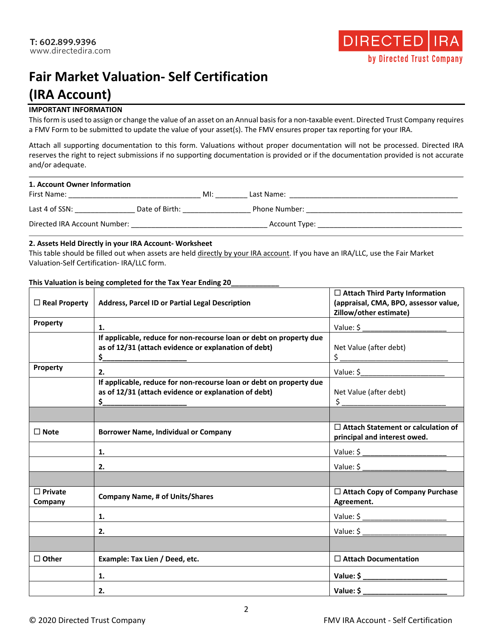

# **Fair Market Valuation- Self Certification (IRA Account)**

### **IMPORTANT INFORMATION**

This form is used to assign or change the value of an asset on an Annual basis for a non-taxable event. Directed Trust Company requires a FMV Form to be submitted to update the value of your asset(s). The FMV ensures proper tax reporting for your IRA.

Attach all supporting documentation to this form. Valuations without proper documentation will not be processed. Directed IRA reserves the right to reject submissions if no supporting documentation is provided or if the documentation provided is not accurate and/or adequate.

| 1. Account Owner Information |                |     |               |
|------------------------------|----------------|-----|---------------|
| First Name:                  |                | MI: | Last Name:    |
| Last 4 of SSN:               | Date of Birth: |     | Phone Number: |
| Directed IRA Account Number: |                |     | Account Type: |

## **2. Assets Held Directly in your IRA Account- Worksheet**

This table should be filled out when assets are held directly by your IRA account. If you have an IRA/LLC, use the Fair Market Valuation-Self Certification- IRA/LLC form.

### **This Valuation is being completed for the Tax Year Ending 20\_\_\_\_\_\_\_\_\_\_\_\_**

| $\Box$ Real Property      | <b>Address, Parcel ID or Partial Legal Description</b>                                                                      | $\Box$ Attach Third Party Information<br>(appraisal, CMA, BPO, assessor value,<br>Zillow/other estimate)                                                                                                                                                                                                                                      |  |
|---------------------------|-----------------------------------------------------------------------------------------------------------------------------|-----------------------------------------------------------------------------------------------------------------------------------------------------------------------------------------------------------------------------------------------------------------------------------------------------------------------------------------------|--|
| Property                  | 1.                                                                                                                          |                                                                                                                                                                                                                                                                                                                                               |  |
|                           | If applicable, reduce for non-recourse loan or debt on property due<br>as of 12/31 (attach evidence or explanation of debt) | Net Value (after debt)<br>$\frac{1}{2}$                                                                                                                                                                                                                                                                                                       |  |
| <b>Property</b>           | 2.                                                                                                                          |                                                                                                                                                                                                                                                                                                                                               |  |
|                           | If applicable, reduce for non-recourse loan or debt on property due<br>as of 12/31 (attach evidence or explanation of debt) | Net Value (after debt)<br>$\frac{1}{2}$ $\frac{1}{2}$ $\frac{1}{2}$ $\frac{1}{2}$ $\frac{1}{2}$ $\frac{1}{2}$ $\frac{1}{2}$ $\frac{1}{2}$ $\frac{1}{2}$ $\frac{1}{2}$ $\frac{1}{2}$ $\frac{1}{2}$ $\frac{1}{2}$ $\frac{1}{2}$ $\frac{1}{2}$ $\frac{1}{2}$ $\frac{1}{2}$ $\frac{1}{2}$ $\frac{1}{2}$ $\frac{1}{2}$ $\frac{1}{2}$ $\frac{1}{2}$ |  |
|                           |                                                                                                                             |                                                                                                                                                                                                                                                                                                                                               |  |
| $\Box$ Note               | <b>Borrower Name, Individual or Company</b>                                                                                 | $\Box$ Attach Statement or calculation of<br>principal and interest owed.                                                                                                                                                                                                                                                                     |  |
|                           | 1.                                                                                                                          | Value: \$ _________________________                                                                                                                                                                                                                                                                                                           |  |
|                           | 2.                                                                                                                          | Value: \$                                                                                                                                                                                                                                                                                                                                     |  |
|                           |                                                                                                                             |                                                                                                                                                                                                                                                                                                                                               |  |
| $\Box$ Private<br>Company | <b>Company Name, # of Units/Shares</b>                                                                                      | $\Box$ Attach Copy of Company Purchase<br>Agreement.                                                                                                                                                                                                                                                                                          |  |
|                           | 1.                                                                                                                          | Value: \$ ________________________                                                                                                                                                                                                                                                                                                            |  |
|                           | 2.                                                                                                                          |                                                                                                                                                                                                                                                                                                                                               |  |
|                           |                                                                                                                             |                                                                                                                                                                                                                                                                                                                                               |  |
| $\Box$ Other              | Example: Tax Lien / Deed, etc.                                                                                              | $\Box$ Attach Documentation                                                                                                                                                                                                                                                                                                                   |  |
|                           | 1.                                                                                                                          | Value: \$                                                                                                                                                                                                                                                                                                                                     |  |
|                           | 2.                                                                                                                          | Value: \$                                                                                                                                                                                                                                                                                                                                     |  |